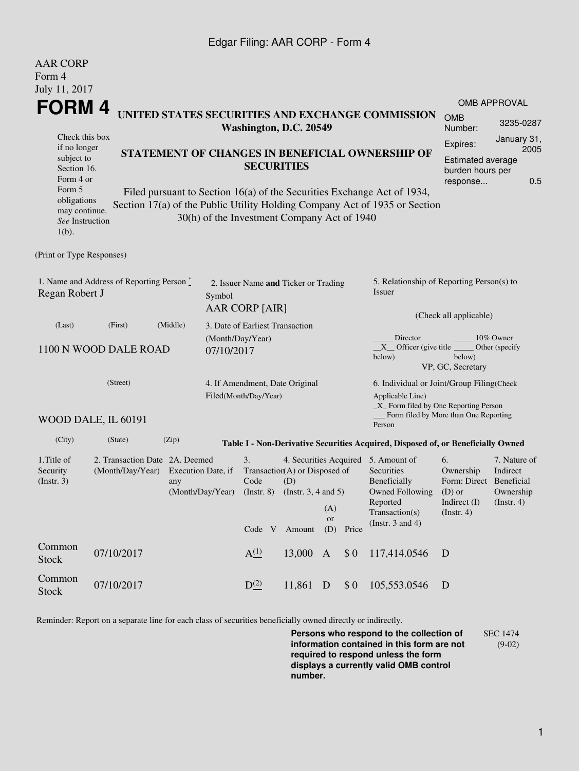## Edgar Filing: AAR CORP - Form 4

| <b>AAR CORP</b>                                                                                                                                   |                                                    |          |                                        |                                                                  |                                                                                                                             |                         |       |                                                                                                                                                                                                          |                                                                          |                                                           |  |  |
|---------------------------------------------------------------------------------------------------------------------------------------------------|----------------------------------------------------|----------|----------------------------------------|------------------------------------------------------------------|-----------------------------------------------------------------------------------------------------------------------------|-------------------------|-------|----------------------------------------------------------------------------------------------------------------------------------------------------------------------------------------------------------|--------------------------------------------------------------------------|-----------------------------------------------------------|--|--|
| Form 4<br>July 11, 2017                                                                                                                           |                                                    |          |                                        |                                                                  |                                                                                                                             |                         |       |                                                                                                                                                                                                          |                                                                          |                                                           |  |  |
| <b>FORM4</b>                                                                                                                                      |                                                    |          |                                        |                                                                  |                                                                                                                             |                         |       |                                                                                                                                                                                                          |                                                                          | <b>OMB APPROVAL</b>                                       |  |  |
| UNITED STATES SECURITIES AND EXCHANGE COMMISSION<br>Washington, D.C. 20549                                                                        |                                                    |          |                                        |                                                                  |                                                                                                                             |                         |       |                                                                                                                                                                                                          | <b>OMB</b><br>Number:                                                    | 3235-0287                                                 |  |  |
| Check this box<br>if no longer<br>subject to<br>Section 16.<br>Form 4 or<br>Form 5<br>obligations<br>may continue.<br>See Instruction<br>$1(b)$ . |                                                    |          |                                        | <b>SECURITIES</b><br>30(h) of the Investment Company Act of 1940 |                                                                                                                             |                         |       | STATEMENT OF CHANGES IN BENEFICIAL OWNERSHIP OF<br>Filed pursuant to Section 16(a) of the Securities Exchange Act of 1934,<br>Section 17(a) of the Public Utility Holding Company Act of 1935 or Section | Expires:<br><b>Estimated average</b><br>burden hours per<br>response     | January 31,<br>2005<br>0.5                                |  |  |
| (Print or Type Responses)                                                                                                                         |                                                    |          |                                        |                                                                  |                                                                                                                             |                         |       |                                                                                                                                                                                                          |                                                                          |                                                           |  |  |
| 1. Name and Address of Reporting Person *<br>Regan Robert J<br>Symbol                                                                             |                                                    |          |                                        | 2. Issuer Name and Ticker or Trading<br>AAR CORP [AIR]           |                                                                                                                             |                         |       | 5. Relationship of Reporting Person(s) to<br>Issuer<br>(Check all applicable)                                                                                                                            |                                                                          |                                                           |  |  |
| (Last)                                                                                                                                            | (First)                                            | (Middle) | 3. Date of Earliest Transaction        |                                                                  |                                                                                                                             |                         |       |                                                                                                                                                                                                          |                                                                          |                                                           |  |  |
| 1100 N WOOD DALE ROAD<br>07/10/2017                                                                                                               |                                                    |          |                                        | (Month/Day/Year)                                                 |                                                                                                                             |                         |       | Director<br>10% Owner<br>$X$ Officer (give title $\overline{\phantom{a}}$<br>Other (specify)<br>below)<br>below)<br>VP, GC, Secretary                                                                    |                                                                          |                                                           |  |  |
| (Street)                                                                                                                                          |                                                    |          |                                        | 4. If Amendment, Date Original<br>Filed(Month/Day/Year)          |                                                                                                                             |                         |       | 6. Individual or Joint/Group Filing(Check<br>Applicable Line)<br>_X_ Form filed by One Reporting Person                                                                                                  |                                                                          |                                                           |  |  |
|                                                                                                                                                   | WOOD DALE, IL 60191                                |          |                                        |                                                                  |                                                                                                                             |                         |       | Form filed by More than One Reporting<br>Person                                                                                                                                                          |                                                                          |                                                           |  |  |
| (City)                                                                                                                                            | (State)                                            | (Zip)    |                                        |                                                                  |                                                                                                                             |                         |       | Table I - Non-Derivative Securities Acquired, Disposed of, or Beneficially Owned                                                                                                                         |                                                                          |                                                           |  |  |
| 1. Title of<br>Security<br>(Insert. 3)                                                                                                            | 2. Transaction Date 2A. Deemed<br>(Month/Day/Year) | any      | Execution Date, if<br>(Month/Day/Year) |                                                                  | 3.<br>4. Securities Acquired 5. Amount of<br>Transaction(A) or Disposed of<br>Code<br>(D)<br>(Instr. 8) (Instr. 3, 4 and 5) |                         |       |                                                                                                                                                                                                          | 6.<br>Ownership<br>Form: Direct Beneficial<br>$(D)$ or<br>Indirect $(I)$ | 7. Nature of<br>Indirect<br>Ownership<br>$($ Instr. 4 $)$ |  |  |
|                                                                                                                                                   |                                                    |          |                                        | Code V Amount                                                    |                                                                                                                             | (A)<br><b>or</b><br>(D) | Price | Transaction(s)<br>(Instr. $3$ and $4$ )                                                                                                                                                                  | (Instr. 4)                                                               |                                                           |  |  |
| Common<br><b>Stock</b>                                                                                                                            | 07/10/2017                                         |          |                                        | A <sup>(1)</sup>                                                 | 13,000 A                                                                                                                    |                         | \$0   | 117,414.0546                                                                                                                                                                                             | D                                                                        |                                                           |  |  |
| Common<br><b>Stock</b>                                                                                                                            | 07/10/2017                                         |          |                                        | $D^{(2)}$                                                        | 11,861 D                                                                                                                    |                         | \$0   | 105,553.0546                                                                                                                                                                                             | D                                                                        |                                                           |  |  |

Reminder: Report on a separate line for each class of securities beneficially owned directly or indirectly.

**Persons who respond to the collection of information contained in this form are not required to respond unless the form displays a currently valid OMB control number.** SEC 1474 (9-02)